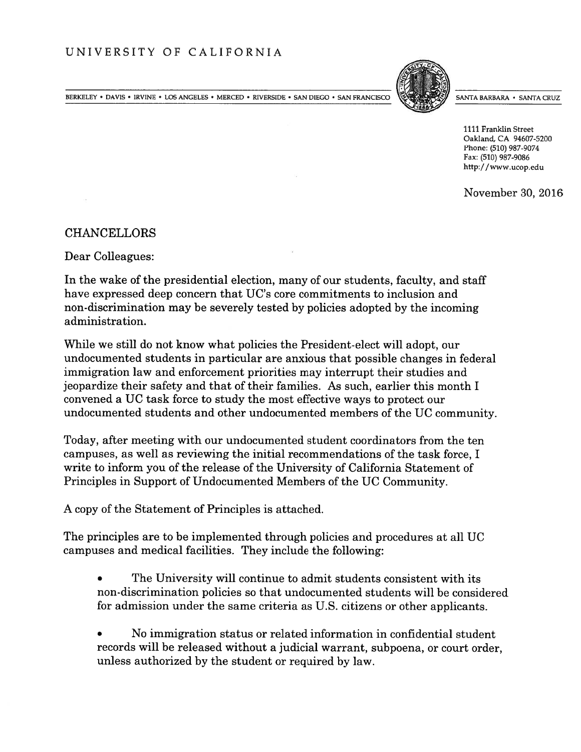BERKELEY • DAVIS • IRVINE • LOS ANGELES • MERCED • RIVERSIDE • SAN DIEGO • SAN FRANCISCO SANTA BARBARA • SANTA BARBARA • SANTA CRUZ



1111 Franklin Street Oakland, CA 94607-5200 Phone: (510) 987-9074 Fax: (510) 987-9086 http://www.ucop.edu

November 30, 2016

CHANCELLORS

Dear Colleagues:

In the wake of the presidential election, many of our students, faculty, and staff have expressed deep concern that UC's core commitments to inclusion and non-discrimination may be severely tested by policies adopted by the incoming administration.

While we still do not know what policies the President-elect will adopt, our undocumented students in particular are anxious that possible changes in federal immigration law and enforcement priorities may interrupt their studies and jeopardize their safety and that of their families. As such, earlier this month I convened <sup>a</sup> UC task force to study the most effective ways to protect our undocumented students and other undocumented members of the UC community.

Today, after meeting with our undocumented student coordinators from the ten campuses, as well as reviewing the initial recommendations of the task force, I write to inform you of the release of the University of California Statement of Principles in Support of Undocumented Members of the UC Community.

A copy of the Statement of Principles is attached.

The principles are to be implemented through policies and procedures at all UC campuses and medical facilities. They include the following:

- • The University will continue to admit students consistent with its non-discrimination policies so that undocumented students will be considered for admission under the same criteria as U.S. citizens or other applicants.
- • No immigration status or related information in confidential student records will be released without <sup>a</sup> judicial warrant, subpoena, or court order, unless authorized by the student or required by law.